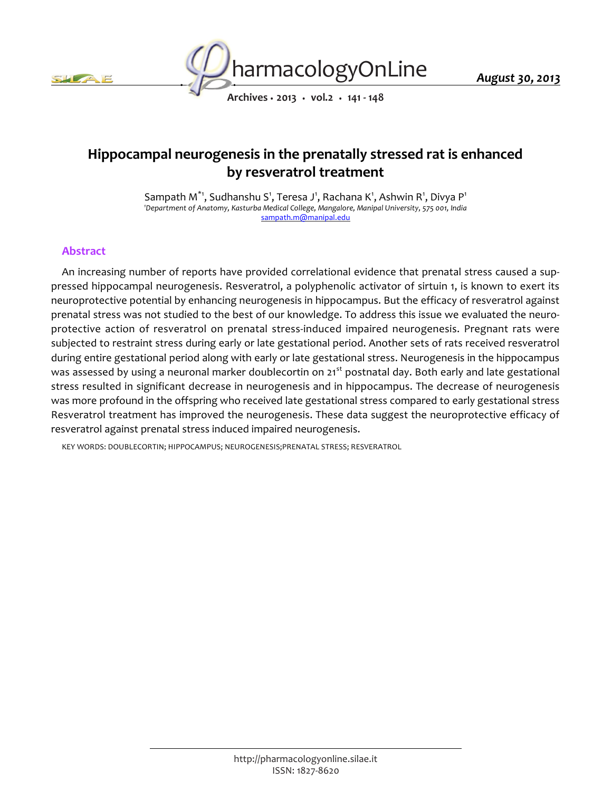



*August 30, 2013*

*Archives • 2013 • vol.2 • 141 - 148*

# *Hippocampal neurogenesis in the prenatally stressed rat is enhanced by resveratrol treatment*

*Sampath M\*1, Sudhanshu S<sup>1</sup> , Teresa J<sup>1</sup> , Rachana K<sup>1</sup> , Ashwin R<sup>1</sup> , Divya P<sup>1</sup> <sup>1</sup>Department of Anatomy, Kasturba Medical College, Mangalore, Manipal University, 575 001, India sampath.m@manipal.edu*

## *Abstract*

*An increasing number of reports have provided correlational evidence that prenatal stress caused a suppressed hippocampal neurogenesis. Resveratrol, a polyphenolic activator of sirtuin 1, is known to exert its neuroprotective potential by enhancing neurogenesis in hippocampus. But the efficacy of resveratrol against prenatal stress was not studied to the best of our knowledge. To address this issue we evaluated the neuroprotective action of resveratrol on prenatal stress-induced impaired neurogenesis. Pregnant rats were*  subjected to restraint stress during early or late gestational period. Another sets of rats received resveratrol *during entire gestational period along with early or late gestational stress. Neurogenesis in the hippocampus was assessed by using a neuronal marker doublecortin on 21st postnatal day. Both early and late gestational stress resulted in significant decrease in neurogenesis and in hippocampus. The decrease of neurogenesis was more profound in the offspring who received late gestational stress compared to early gestational stress Resveratrol treatment has improved the neurogenesis. These data suggest the neuroprotective efficacy of resveratrol against prenatal stress induced impaired neurogenesis.*

*KEY WORDS: DOUBLECORTIN; HIPPOCAMPUS; NEUROGENESIS;PRENATAL STRESS; RESVERATROL*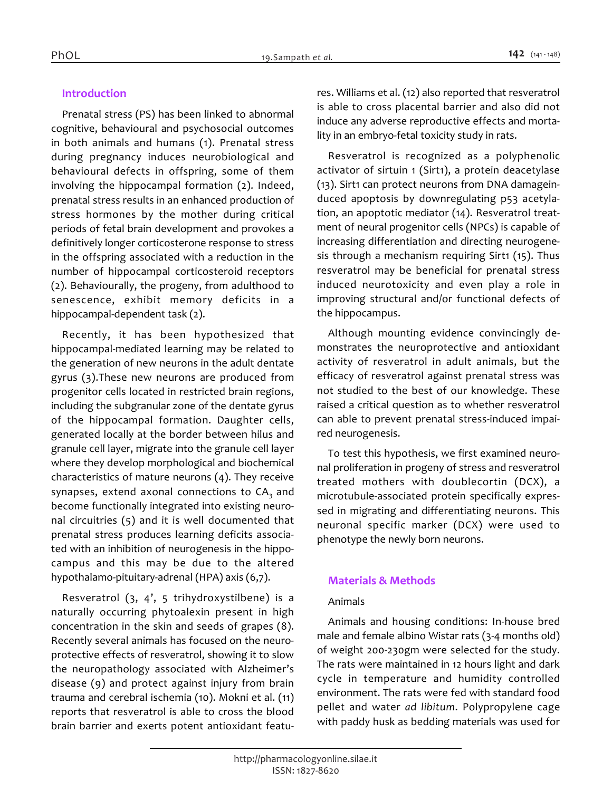# *Introduction*

*Prenatal stress (PS) has been linked to abnormal cognitive, behavioural and psychosocial outcomes in both animals and humans (1). Prenatal stress during pregnancy induces neurobiological and behavioural defects in offspring, some of them involving the hippocampal formation (2). Indeed, prenatal stress results in an enhanced production of stress hormones by the mother during critical periods of fetal brain development and provokes a definitively longer corticosterone response to stress in the offspring associated with a reduction in the number of hippocampal corticosteroid receptors (2). Behaviourally, the progeny, from adulthood to senescence, exhibit memory deficits in a hippocampal-dependent task (2).*

*Recently, it has been hypothesized that hippocampal-mediated learning may be related to the generation of new neurons in the adult dentate gyrus (3).These new neurons are produced from progenitor cells located in restricted brain regions, including the subgranular zone of the dentate gyrus of the hippocampal formation. Daughter cells, generated locally at the border between hilus and granule cell layer, migrate into the granule cell layer where they develop morphological and biochemical characteristics of mature neurons (4). They receive synapses, extend axonal connections to CA3 and become functionally integrated into existing neuronal circuitries (5) and it is well documented that prenatal stress produces learning deficits associated with an inhibition of neurogenesis in the hippocampus and this may be due to the altered hypothalamo-pituitary-adrenal (HPA) axis (6,7).*

*Resveratrol (3, 4', 5 trihydroxystilbene) is a naturally occurring phytoalexin present in high concentration in the skin and seeds of grapes (8). Recently several animals has focused on the neuroprotective effects of resveratrol, showing it to slow the neuropathology associated with Alzheimer's disease (9) and protect against injury from brain trauma and cerebral ischemia (10). Mokni et al. (11) reports that resveratrol is able to cross the blood brain barrier and exerts potent antioxidant featu-* *res. Williams et al. (12) also reported that resveratrol is able to cross placental barrier and also did not induce any adverse reproductive effects and mortality in an embryo-fetal toxicity study in rats.*

*Resveratrol is recognized as a polyphenolic activator of sirtuin 1 (Sirt1), a protein deacetylase (13). Sirt1 can protect neurons from DNA damageinduced apoptosis by downregulating p53 acetylation, an apoptotic mediator (14). Resveratrol treatment of neural progenitor cells (NPCs) is capable of increasing differentiation and directing neurogenesis through a mechanism requiring Sirt1 (15). Thus resveratrol may be beneficial for prenatal stress induced neurotoxicity and even play a role in improving structural and/or functional defects of the hippocampus.*

*Although mounting evidence convincingly demonstrates the neuroprotective and antioxidant activity of resveratrol in adult animals, but the efficacy of resveratrol against prenatal stress was not studied to the best of our knowledge. These raised a critical question as to whether resveratrol can able to prevent prenatal stress-induced impaired neurogenesis.*

*To test this hypothesis, we first examined neuronal proliferation in progeny of stress and resveratrol treated mothers with doublecortin (DCX), a microtubule-associated protein specifically expressed in migrating and differentiating neurons. This neuronal specific marker (DCX) were used to phenotype the newly born neurons.*

# *Materials & Methods*

#### *Animals*

*Animals and housing conditions: In-house bred male and female albino Wistar rats (3-4 months old) of weight 200-230gm were selected for the study. The rats were maintained in 12 hours light and dark cycle in temperature and humidity controlled environment. The rats were fed with standard food pellet and water ad libitum. Polypropylene cage with paddy husk as bedding materials was used for*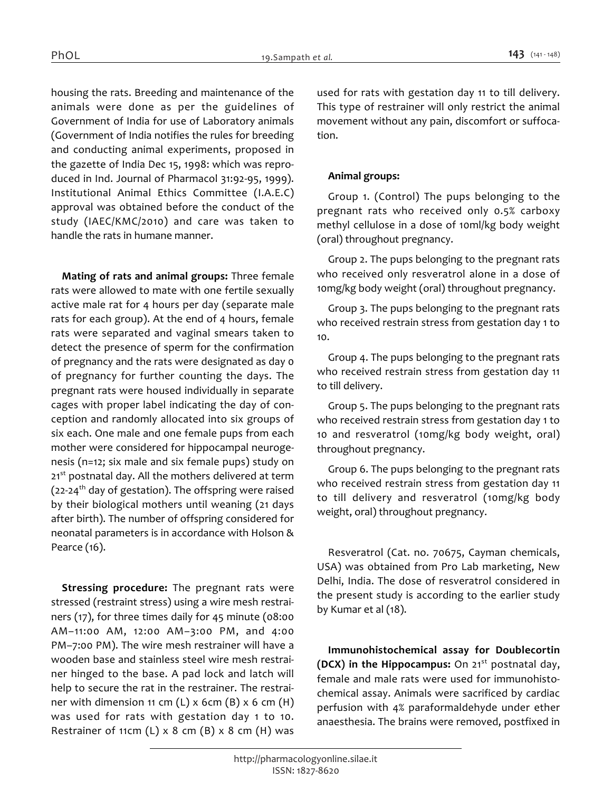*housing the rats. Breeding and maintenance of the animals were done as per the guidelines of Government of India for use of Laboratory animals (Government of India notifies the rules for breeding and conducting animal experiments, proposed in the gazette of India Dec 15, 1998: which was reproduced in Ind. Journal of Pharmacol 31:92-95, 1999). Institutional Animal Ethics Committee (I.A.E.C) approval was obtained before the conduct of the study (IAEC/KMC/2010) and care was taken to handle the rats in humane manner.*

*Mating of rats and animal groups: Three female rats were allowed to mate with one fertile sexually active male rat for 4 hours per day (separate male rats for each group). At the end of 4 hours, female rats were separated and vaginal smears taken to detect the presence of sperm for the confirmation of pregnancy and the rats were designated as day 0 of pregnancy for further counting the days. The pregnant rats were housed individually in separate cages with proper label indicating the day of conception and randomly allocated into six groups of six each. One male and one female pups from each mother were considered for hippocampal neurogenesis (n=12; six male and six female pups) study on 21st postnatal day. All the mothers delivered at term (22-24th day of gestation). The offspring were raised by their biological mothers until weaning (21 days after birth). The number of offspring considered for neonatal parameters is in accordance with Holson & Pearce (16).*

*Stressing procedure: The pregnant rats were stressed (restraint stress) using a wire mesh restrainers (17), for three times daily for 45 minute (08:00 AM–11:00 AM, 12:00 AM–3:00 PM, and 4:00 PM–7:00 PM). The wire mesh restrainer will have a wooden base and stainless steel wire mesh restrainer hinged to the base. A pad lock and latch will help to secure the rat in the restrainer. The restrainer with dimension 11 cm (L) x 6cm (B) x 6 cm (H) was used for rats with gestation day 1 to 10. Restrainer of 11cm (L) x 8 cm (B) x 8 cm (H) was* 

*used for rats with gestation day 11 to till delivery. This type of restrainer will only restrict the animal movement without any pain, discomfort or suffocation.*

## *Animal groups:*

*Group 1. (Control) The pups belonging to the pregnant rats who received only 0.5% carboxy methyl cellulose in a dose of 10ml/kg body weight (oral) throughout pregnancy.*

*Group 2. The pups belonging to the pregnant rats who received only resveratrol alone in a dose of 10mg/kg body weight (oral) throughout pregnancy.*

*Group 3. The pups belonging to the pregnant rats who received restrain stress from gestation day 1 to 10.*

*Group 4. The pups belonging to the pregnant rats who received restrain stress from gestation day 11 to till delivery.*

*Group 5. The pups belonging to the pregnant rats who received restrain stress from gestation day 1 to*  10 and resveratrol (10mg/kg body weight, oral) *throughout pregnancy.*

*Group 6. The pups belonging to the pregnant rats who received restrain stress from gestation day 11 to till delivery and resveratrol (10mg/kg body weight, oral) throughout pregnancy.*

*Resveratrol (Cat. no. 70675, Cayman chemicals, USA) was obtained from Pro Lab marketing, New Delhi, India. The dose of resveratrol considered in the present study is according to the earlier study by Kumar et al (18).*

*Immunohistochemical assay for Doublecortin (DCX) in the Hippocampus: On 21st postnatal day, female and male rats were used for immunohistochemical assay. Animals were sacrificed by cardiac perfusion with 4% paraformaldehyde under ether anaesthesia. The brains were removed, postfixed in*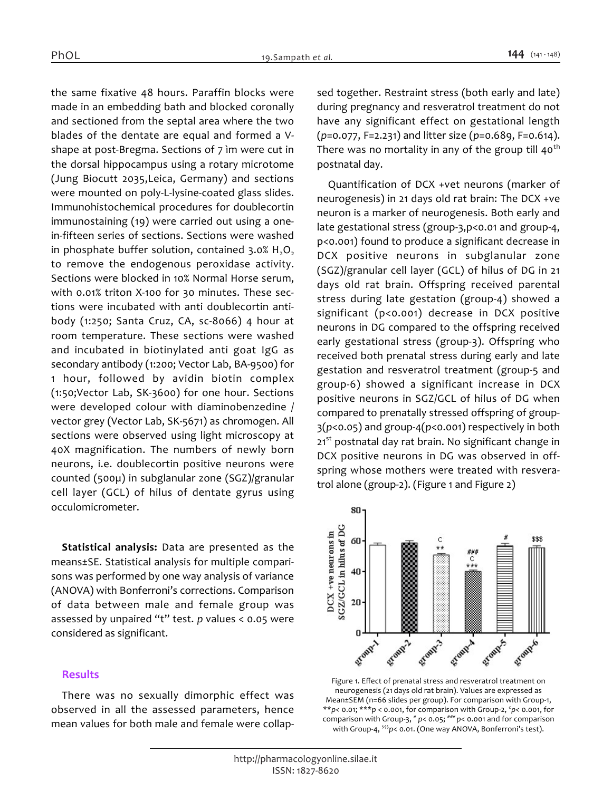*the same fixative 48 hours. Paraffin blocks were made in an embedding bath and blocked coronally and sectioned from the septal area where the two blades of the dentate are equal and formed a Vshape at post-Bregma. Sections of 7 ìm were cut in the dorsal hippocampus using a rotary microtome (Jung Biocutt 2035,Leica, Germany) and sections were mounted on poly-L-lysine-coated glass slides. Immunohistochemical procedures for doublecortin immunostaining (19) were carried out using a onein-fifteen series of sections. Sections were washed in phosphate buffer solution, contained 3.0% H<sub>2</sub>O<sub>2</sub> to remove the endogenous peroxidase activity. Sections were blocked in 10% Normal Horse serum, with 0.01% triton X-100 for 30 minutes. These sections were incubated with anti doublecortin antibody (1:250; Santa Cruz, CA, sc-8066) 4 hour at room temperature. These sections were washed and incubated in biotinylated anti goat IgG as secondary antibody (1:200; Vector Lab, BA-9500) for 1 hour, followed by avidin biotin complex (1:50;Vector Lab, SK-3600) for one hour. Sections were developed colour with diaminobenzedine / vector grey (Vector Lab, SK-5671) as chromogen. All sections were observed using light microscopy at 40X magnification. The numbers of newly born neurons, i.e. doublecortin positive neurons were counted (500µ) in subglanular zone (SGZ)/granular cell layer (GCL) of hilus of dentate gyrus using occulomicrometer.*

*Statistical analysis: Data are presented as the means±SE. Statistical analysis for multiple comparisons was performed by one way analysis of variance (ANOVA) with Bonferroni's corrections. Comparison of data between male and female group was assessed by unpaired "t" test. p values < 0.05 were considered as significant.*

#### *Results*

*There was no sexually dimorphic effect was observed in all the assessed parameters, hence mean values for both male and female were collap-* *sed together. Restraint stress (both early and late) during pregnancy and resveratrol treatment do not have any significant effect on gestational length (p=0.077, F=2.231) and litter size (p=0.689, F=0.614). There was no mortality in any of the group till 40th postnatal day.*

*Quantification of DCX +vet neurons (marker of neurogenesis) in 21 days old rat brain: The DCX +ve neuron is a marker of neurogenesis. Both early and late gestational stress (group-3,p<0.01 and group-4, p<0.001) found to produce a significant decrease in DCX positive neurons in subglanular zone (SGZ)/granular cell layer (GCL) of hilus of DG in 21 days old rat brain. Offspring received parental stress during late gestation (group-4) showed a significant (p<0.001) decrease in DCX positive neurons in DG compared to the offspring received early gestational stress (group-3). Offspring who received both prenatal stress during early and late gestation and resveratrol treatment (group-5 and group-6) showed a significant increase in DCX positive neurons in SGZ/GCL of hilus of DG when compared to prenatally stressed offspring of group-3(p<0.05) and group-4(p<0.001) respectively in both 21st postnatal day rat brain. No significant change in DCX positive neurons in DG was observed in offspring whose mothers were treated with resveratrol alone (group-2). (Figure 1 and Figure 2)*



*Figure 1. Effect of prenatal stress and resveratrol treatment on neurogenesis (21 days old rat brain). Values are expressed as Mean±SEM (n=66 slides per group). For comparison with Group-1, \*\*p< 0.01; \*\*\*p < 0.001, for comparison with Group-2, <sup>c</sup> p< 0.001, for comparison with Group-3, # p< 0.05; ### p< 0.001 and for comparison with Group-4, \$\$\$p< 0.01. (One way ANOVA, Bonferroni's test).*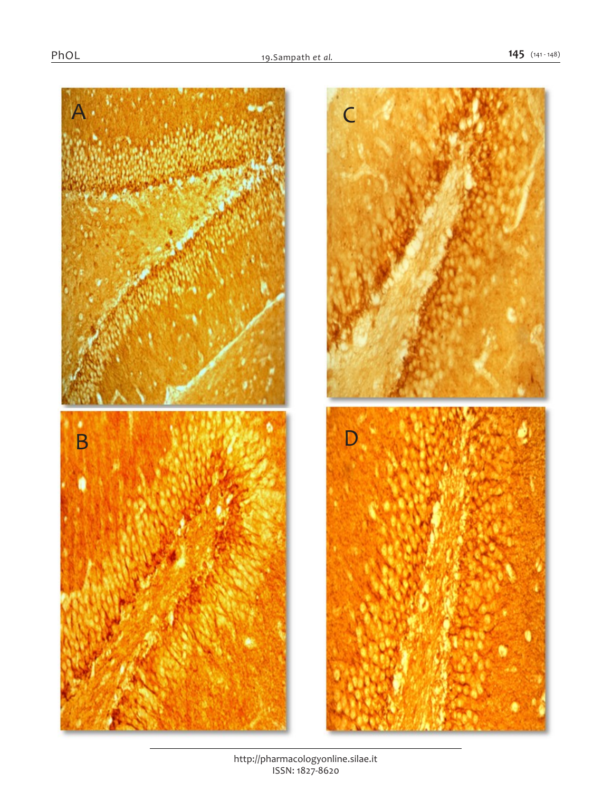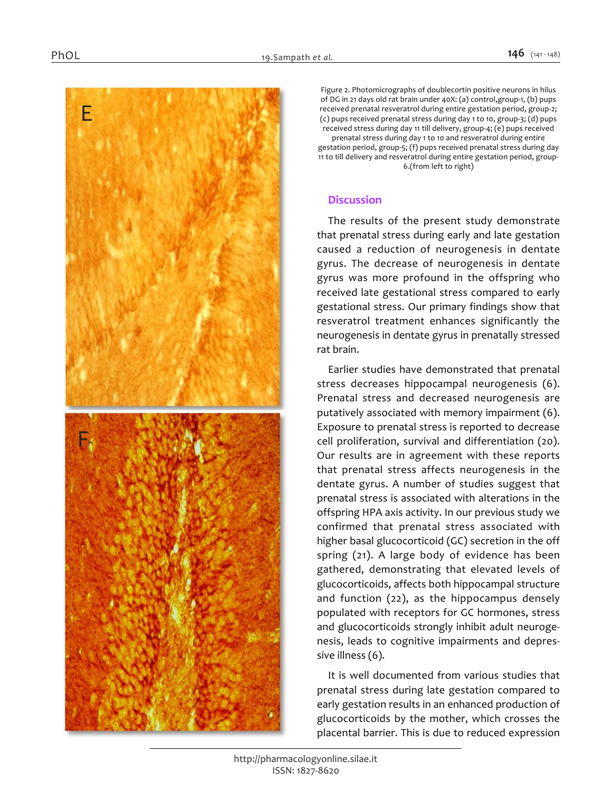

*Figure 2. Photomicrographs of doublecortin positive neurons in hilus of DG in 21 days old rat brain under 40X: (a) control,group-1, (b) pups received prenatal resveratrol during entire gestation period, group-2; (c) pups received prenatal stress during day 1 to 10, group-3; (d) pups received stress during day 11 till delivery, group-4; (e) pups received prenatal stress during day 1 to 10 and resveratrol during entire gestation period, group-5; (f) pups received prenatal stress during day 11 to till delivery and resveratrol during entire gestation period, group-6.(from left to right)*

#### *Discussion*

*The results of the present study demonstrate that prenatal stress during early and late gestation caused a reduction of neurogenesis in dentate gyrus. The decrease of neurogenesis in dentate gyrus was more profound in the offspring who received late gestational stress compared to early gestational stress. Our primary findings show that resveratrol treatment enhances significantly the neurogenesis in dentate gyrus in prenatally stressed rat brain.*

*Earlier studies have demonstrated that prenatal stress decreases hippocampal neurogenesis (6). Prenatal stress and decreased neurogenesis are putatively associated with memory impairment (6). Exposure to prenatal stress is reported to decrease cell proliferation, survival and differentiation (20). Our results are in agreement with these reports that prenatal stress affects neurogenesis in the dentate gyrus. A number of studies suggest that prenatal stress is associated with alterations in the offspring HPA axis activity. In our previous study we confirmed that prenatal stress associated with higher basal glucocorticoid (GC) secretion in the off spring (21). A large body of evidence has been gathered, demonstrating that elevated levels of glucocorticoids, affects both hippocampal structure and function (22), as the hippocampus densely populated with receptors for GC hormones, stress and glucocorticoids strongly inhibit adult neurogenesis, leads to cognitive impairments and depressive illness (6).*

*It is well documented from various studies that prenatal stress during late gestation compared to early gestation results in an enhanced production of glucocorticoids by the mother, which crosses the placental barrier. This is due to reduced expression*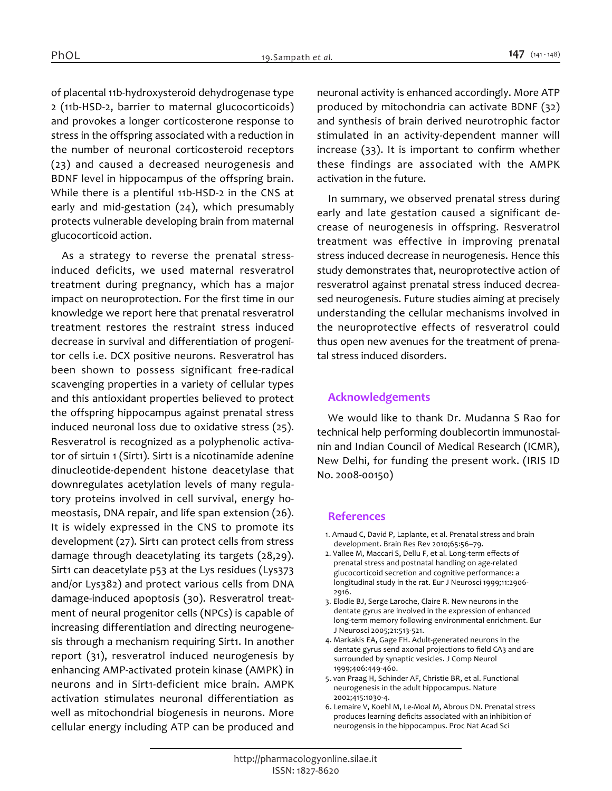*of placental 11b-hydroxysteroid dehydrogenase type 2 (11b-HSD-2, barrier to maternal glucocorticoids) and provokes a longer corticosterone response to stress in the offspring associated with a reduction in the number of neuronal corticosteroid receptors (23) and caused a decreased neurogenesis and BDNF level in hippocampus of the offspring brain. While there is a plentiful 11b-HSD-2 in the CNS at early and mid-gestation (24), which presumably protects vulnerable developing brain from maternal glucocorticoid action.*

*As a strategy to reverse the prenatal stressinduced deficits, we used maternal resveratrol treatment during pregnancy, which has a major impact on neuroprotection. For the first time in our knowledge we report here that prenatal resveratrol treatment restores the restraint stress induced decrease in survival and differentiation of progenitor cells i.e. DCX positive neurons. Resveratrol has been shown to possess significant free-radical scavenging properties in a variety of cellular types and this antioxidant properties believed to protect the offspring hippocampus against prenatal stress induced neuronal loss due to oxidative stress (25). Resveratrol is recognized as a polyphenolic activator of sirtuin 1 (Sirt1). Sirt1 is a nicotinamide adenine dinucleotide-dependent histone deacetylase that downregulates acetylation levels of many regulatory proteins involved in cell survival, energy homeostasis, DNA repair, and life span extension (26). It is widely expressed in the CNS to promote its development (27). Sirt1 can protect cells from stress damage through deacetylating its targets (28,29). Sirt1 can deacetylate p53 at the Lys residues (Lys373 and/or Lys382) and protect various cells from DNA damage-induced apoptosis (30). Resveratrol treatment of neural progenitor cells (NPCs) is capable of increasing differentiation and directing neurogenesis through a mechanism requiring Sirt1. In another report (31), resveratrol induced neurogenesis by enhancing AMP-activated protein kinase (AMPK) in neurons and in Sirt1-deficient mice brain. AMPK activation stimulates neuronal differentiation as well as mitochondrial biogenesis in neurons. More cellular energy including ATP can be produced and*  *neuronal activity is enhanced accordingly. More ATP produced by mitochondria can activate BDNF (32) and synthesis of brain derived neurotrophic factor stimulated in an activity-dependent manner will increase (33). It is important to confirm whether these findings are associated with the AMPK activation in the future.*

*In summary, we observed prenatal stress during early and late gestation caused a significant decrease of neurogenesis in offspring. Resveratrol treatment was effective in improving prenatal stress induced decrease in neurogenesis. Hence this study demonstrates that, neuroprotective action of resveratrol against prenatal stress induced decreased neurogenesis. Future studies aiming at precisely understanding the cellular mechanisms involved in the neuroprotective effects of resveratrol could thus open new avenues for the treatment of prenatal stress induced disorders.*

#### *Acknowledgements*

*We would like to thank Dr. Mudanna S Rao for technical help performing doublecortin immunostainin and Indian Council of Medical Research (ICMR), New Delhi, for funding the present work. (IRIS ID No. 2008-00150)*

#### *References*

- *1. Arnaud C, David P, Laplante, et al. Prenatal stress and brain development. Brain Res Rev 2010;65:56–79.*
- *2. Vallee M, Maccari S, Dellu F, et al. Long-term effects of prenatal stress and postnatal handling on age-related glucocorticoid secretion and cognitive performance: a longitudinal study in the rat. Eur J Neurosci 1999;11:2906- 2916.*
- *3. Elodie BJ, Serge Laroche, Claire R. New neurons in the dentate gyrus are involved in the expression of enhanced long-term memory following environmental enrichment. Eur J Neurosci 2005;21:513-521.*
- *4. Markakis EA, Gage FH. Adult-generated neurons in the dentate gyrus send axonal projections to field CA3 and are surrounded by synaptic vesicles. J Comp Neurol 1999;406:449-460.*
- *5. van Praag H, Schinder AF, Christie BR, et al. Functional neurogenesis in the adult hippocampus. Nature 2002;415:1030-4.*
- *6. Lemaire V, Koehl M, Le-Moal M, Abrous DN. Prenatal stress produces learning deficits associated with an inhibition of neurogensis in the hippocampus. Proc Nat Acad Sci*